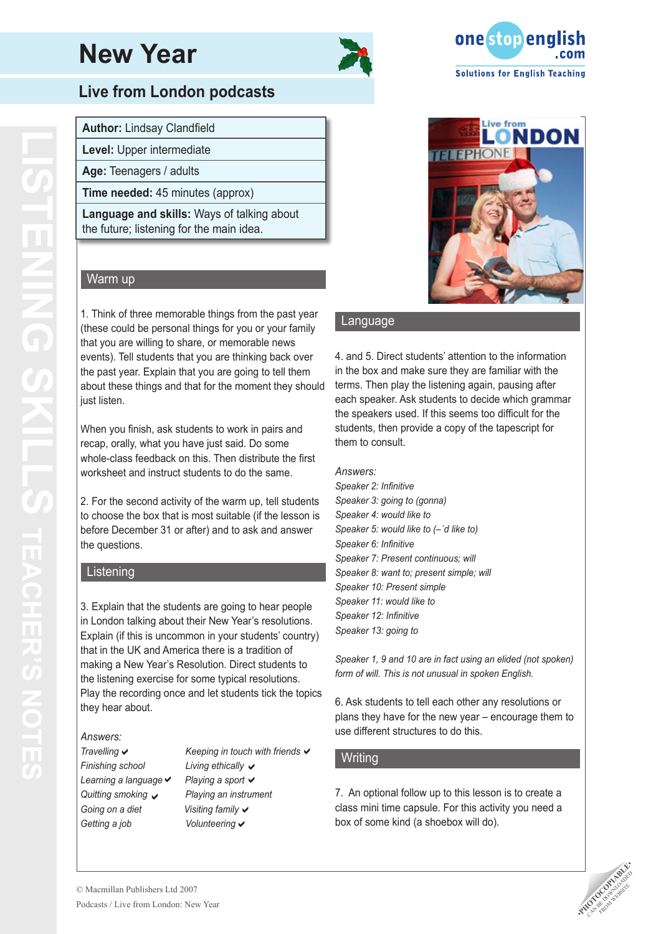



### **Live from London podcasts**

**Author:** Lindsay Clandfield

**Level:** Upper intermediate

**Age:** Teenagers / adults

**Time needed:** 45 minutes (approx)

**Language and skills:** Ways of talking about the future; listening for the main idea.

#### Warm up

 just listen. 1. Think of three memorable things from the past year (these could be personal things for you or your family that you are willing to share, or memorable news events). Tell students that you are thinking back over the past year. Explain that you are going to tell them about these things and that for the moment they should

When you finish, ask students to work in pairs and recap, orally, what you have just said. Do some whole-class feedback on this. Then distribute the first worksheet and instruct students to do the same.

2. For the second activity of the warm up, tell students to choose the box that is most suitable (if the lesson is before December 31 or after) and to ask and answer the questions.

#### Listening

3. Explain that the students are going to hear people in London talking about their New Year's resolutions. Explain (if this is uncommon in your students' country) that in the UK and America there is a tradition of making a New Year's Resolution. Direct students to the listening exercise for some typical resolutions. Play the recording once and let students tick the topics they hear about.

#### *Answers:*

 $F$ *inishing* school *Learning a language ii Playing a sport Going on a diet Getting* a *job* Travelling  $\checkmark$ Quitting smoking v

*Travelling*  $\checkmark$  **Keeping** *in touch* with *friends*  $\checkmark$ *Quitting smoking Playing an instrument*  Playing a sport ✔ Living ethically  $\checkmark$ Visiting family v Volunteering  $\checkmark$ 



#### Language

4. and 5. Direct students' attention to the information in the box and make sure they are familiar with the terms. Then play the listening again, pausing after each speaker. Ask students to decide which grammar the speakers used. If this seems too difficult for the students, then provide a copy of the tapescript for them to consult.

#### *Answers:*

*Speaker 2: Infinitive Speaker 3: going to (gonna) Speaker 4: would like to Speaker 5: would like to (–´d like to) Speaker 6: Infinitive Speaker 7: Present continuous; will Speaker 8: want to; present simple; will Speaker 10: Present simple Speaker 11: would like to Speaker 12: Infinitive Speaker 13: going to*

*Speaker 1, 9 and 10 are in fact using an elided (not spoken) form of will. This is not unusual in spoken English.*

6. Ask students to tell each other any resolutions or plans they have for the new year – encourage them to use different structures to do this.

#### **Writing**

7. An optional follow up to this lesson is to create a class mini time capsule. For this activity you need a box of some kind (a shoebox will do).

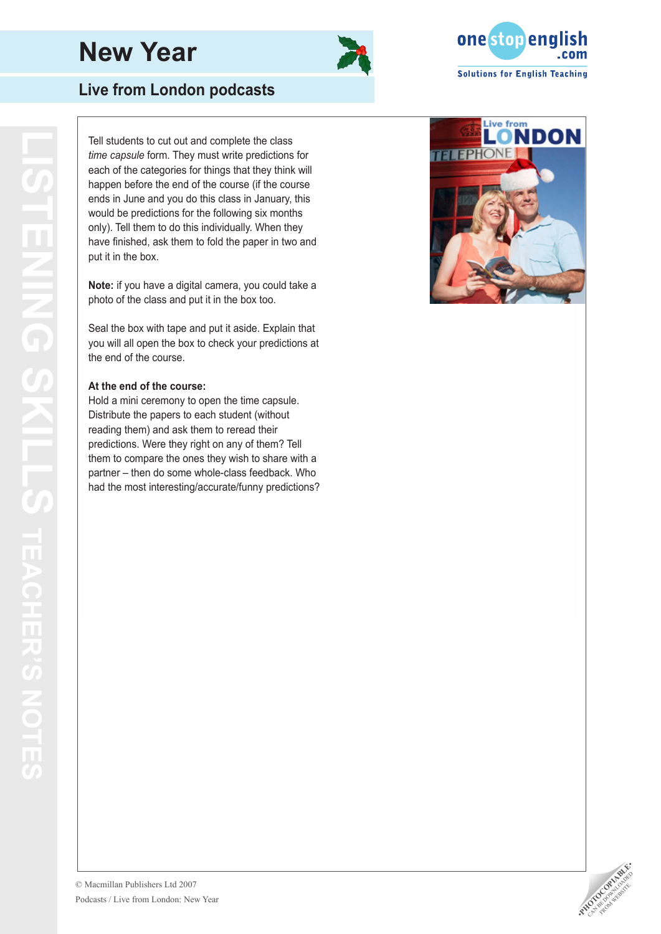



## **Live from London podcasts**

Tell students to cut out and complete the class *time capsule* form. They must write predictions for each of the categories for things that they think will happen before the end of the course (if the course ends in June and you do this class in January, this would be predictions for the following six months only). Tell them to do this individually. When they have finished, ask them to fold the paper in two and put it in the box.

**Note:** if you have a digital camera, you could take a photo of the class and put it in the box too.

Seal the box with tape and put it aside. Explain that you will all open the box to check your predictions at the end of the course.

#### **At the end of the course:**

Hold a mini ceremony to open the time capsule. Distribute the papers to each student (without reading them) and ask them to reread their predictions. Were they right on any of them? Tell them to compare the ones they wish to share with a partner – then do some whole-class feedback. Who had the most interesting/accurate/funny predictions?



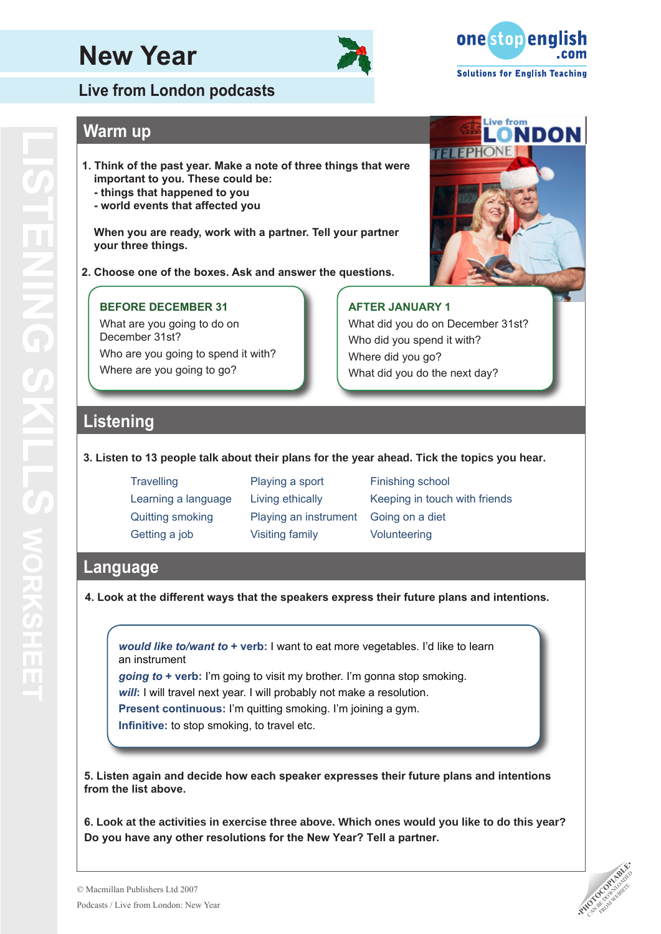



Live from<br>**LONDON** 

**TELEPHONE** 

### **Warm up**

- **1. Think of the past year. Make a note of three things that were important to you. These could be:**
	- **things that happened to you**
	- **world events that affected you**

**When you are ready, work with a partner. Tell your partner your three things.**

**2. Choose one of the boxes. Ask and answer the questions.**

#### **BEFORE DECEMBER 31**

What are you going to do on December 31st? Who are you going to spend it with? Where are you going to go?

#### **AFTER JANUARY 1**

What did you do on December 31st? Who did you spend it with? Where did you go? What did you do the next day?

### **Listening**

#### **3. Listen to 13 people talk about their plans for the year ahead. Tick the topics you hear.**

Travelling **Playing a sport** Finishing school Quitting smoking Playing an instrument Going on a diet Getting a job **Wisiting family Wisiting Solunteering** 

Learning a language Living ethically Keeping in touch with friends

### **Language**

**4. Look at the different ways that the speakers express their future plans and intentions.**

*would like to/want to* **+ verb:** I want to eat more vegetables. I'd like to learn an instrument

*going to* **+ verb:** I'm going to visit my brother. I'm gonna stop smoking. *will*: I will travel next year. I will probably not make a resolution.

**Present continuous:** I'm quitting smoking. I'm joining a gym.

**Infinitive:** to stop smoking, to travel etc.

**5. Listen again and decide how each speaker expresses their future plans and intentions from the list above.**

**6. Look at the activities in exercise three above. Which ones would you like to do this year? Do you have any other resolutions for the New Year? Tell a partner.**

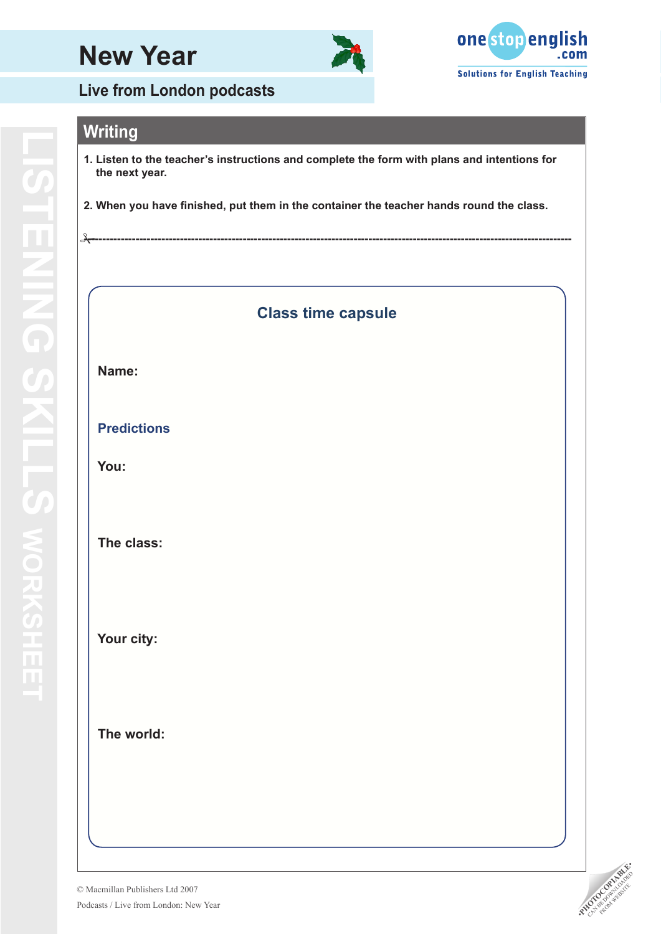



**Live from London podcasts**

# **Writing**

 $\rightarrow$ 

- **1. Listen to the teacher's instructions and complete the form with plans and intentions for the next year.**
- **2. When you have finished, put them in the container the teacher hands round the class.**

### **Class time capsule**

**------------------------------------------------------------------------------------------------------------------------------------**

#### **Name:**

**LISTENING SKILLS** 

**LISTEMING SKILLS WO** 

**works**

### **Predictions**

 **You:**

#### **The class:**

 **Your city:**

 **The world:**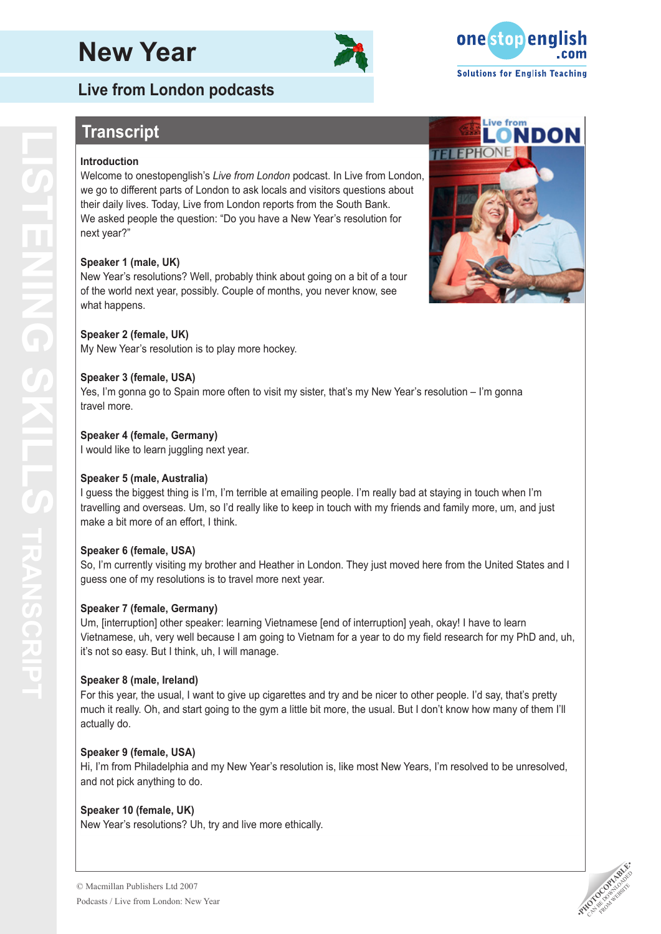# **Live from London podcasts**

# **Transcript**

#### **Introduction**

Welcome to onestopenglish's *Live from London* podcast. In Live from London, we go to different parts of London to ask locals and visitors questions about their daily lives. Today, Live from London reports from the South Bank. We asked people the question: "Do you have a New Year's resolution for next year?"

#### **Speaker 1 (male, UK)**

New Year's resolutions? Well, probably think about going on a bit of a tour of the world next year, possibly. Couple of months, you never know, see what happens.

#### **Speaker 2 (female, UK)**

My New Year's resolution is to play more hockey.

#### **Speaker 3 (female, USA)**

Yes, I'm gonna go to Spain more often to visit my sister, that's my New Year's resolution – I'm gonna travel more.

#### **Speaker 4 (female, Germany)**

I would like to learn juggling next year.

#### **Speaker 5 (male, Australia)**

I guess the biggest thing is I'm, I'm terrible at emailing people. I'm really bad at staying in touch when I'm travelling and overseas. Um, so I'd really like to keep in touch with my friends and family more, um, and just make a bit more of an effort, I think.

#### **Speaker 6 (female, USA)**

So, I'm currently visiting my brother and Heather in London. They just moved here from the United States and I guess one of my resolutions is to travel more next year.

#### **Speaker 7 (female, Germany)**

Um, [interruption] other speaker: learning Vietnamese [end of interruption] yeah, okay! I have to learn Vietnamese, uh, very well because I am going to Vietnam for a year to do my field research for my PhD and, uh, it's not so easy. But I think, uh, I will manage.

#### **Speaker 8 (male, Ireland)**

For this year, the usual, I want to give up cigarettes and try and be nicer to other people. I'd say, that's pretty much it really. Oh, and start going to the gym a little bit more, the usual. But I don't know how many of them I'll actually do.

#### **Speaker 9 (female, USA)**

Hi, I'm from Philadelphia and my New Year's resolution is, like most New Years, I'm resolved to be unresolved, and not pick anything to do.

#### **Speaker 10 (female, UK)**

New Year's resolutions? Uh, try and live more ethically.